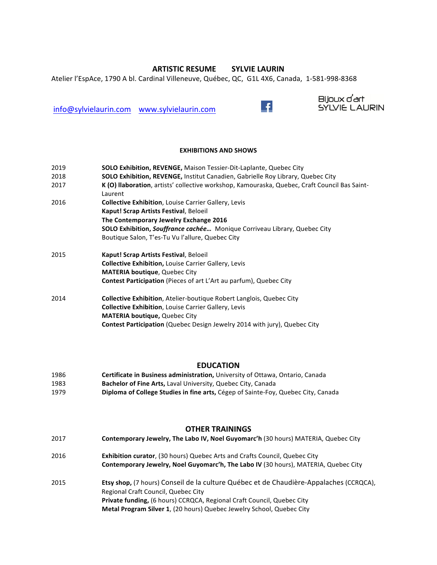# **ARTISTIC RESUME SYLVIE LAURIN**

Bijoux d'art

Atelier l'EspAce, 1790 A bl. Cardinal Villeneuve, Québec, QC, G1L 4X6, Canada, 1-581-998-8368

info@sylvielaurin.com www.sylvielaurin.com <br>
The SYLVIE LAURIN

### **EXHIBITIONS AND SHOWS**

| 2019 | <b>SOLO Exhibition, REVENGE, Maison Tessier-Dit-Laplante, Quebec City</b>                     |
|------|-----------------------------------------------------------------------------------------------|
| 2018 | <b>SOLO Exhibition, REVENGE, Institut Canadien, Gabrielle Roy Library, Quebec City</b>        |
| 2017 | K (O) Ilaboration, artists' collective workshop, Kamouraska, Quebec, Craft Council Bas Saint- |
|      | Laurent                                                                                       |
| 2016 | <b>Collective Exhibition, Louise Carrier Gallery, Levis</b>                                   |
|      | Kaput! Scrap Artists Festival, Beloeil                                                        |
|      | The Contemporary Jewelry Exchange 2016                                                        |
|      | <b>SOLO Exhibition, Souffrance cachée</b> Monique Corriveau Library, Quebec City              |
|      | Boutique Salon, T'es-Tu Vu l'allure, Quebec City                                              |
| 2015 | Kaput! Scrap Artists Festival, Beloeil                                                        |
|      | <b>Collective Exhibition, Louise Carrier Gallery, Levis</b>                                   |
|      | <b>MATERIA boutique, Quebec City</b>                                                          |
|      | Contest Participation (Pieces of art L'Art au parfum), Quebec City                            |
| 2014 | <b>Collective Exhibition, Atelier-boutique Robert Langlois, Quebec City</b>                   |
|      | <b>Collective Exhibition, Louise Carrier Gallery, Levis</b>                                   |
|      | <b>MATERIA boutique, Quebec City</b>                                                          |
|      | <b>Contest Participation (Quebec Design Jewelry 2014 with jury), Quebec City</b>              |

## **EDUCATION**

| 1986 | Certificate in Business administration, University of Ottawa, Ontario, Canada     |
|------|-----------------------------------------------------------------------------------|
| 1983 | <b>Bachelor of Fine Arts, Laval University, Quebec City, Canada</b>               |
| 1979 | Diploma of College Studies in fine arts, Cégep of Sainte-Foy, Quebec City, Canada |

## **OTHER TRAININGS**

2017 **Contemporary Jewelry, The Labo IV, Noel Guyomarc'h** (30 hours) MATERIA, Quebec City 2016 **Exhibition curator**, (30 hours) Quebec Arts and Crafts Council, Quebec City **Contemporary Jewelry, Noel Guyomarc'h, The Labo IV (30 hours), MATERIA, Quebec City** 2015 **Etsy shop,** (7 hours) Conseil de la culture Québec et de Chaudière-Appalaches (CCRQCA), Regional Craft Council, Quebec City **Private funding,** (6 hours) CCRQCA, Regional Craft Council, Quebec City **Metal Program Silver 1**, (20 hours) Quebec Jewelry School, Quebec City